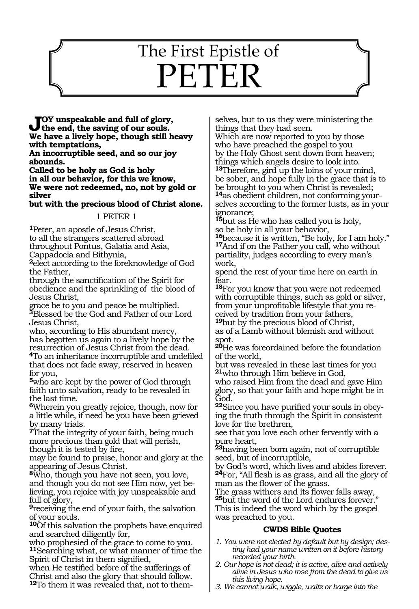# 1550 The First Epistle of PETER

**Joy unspeakable and full of glory, the end, the saving of our souls. We have a lively hope, though still heavy with temptations,**

**An incorruptible seed, and so our joy abounds.**

**Called to be holy as God is holy in all our behavior, for this we know, We were not redeemed, no, not by gold or silver**

**but with the precious blood of Christ alone.**

## 1 PETER 1

**<sup>1</sup>**Peter, an apostle of Jesus Christ, to all the strangers scattered abroad throughout Pontus, Galatia and Asia,

Cappadocia and Bithynia,

**<sup>2</sup>**elect according to the foreknowledge of God the Father,

through the sanctification of the Spirit for obedience and the sprinkling of the blood of Jesus Christ,

grace be to you and peace be multiplied. **<sup>3</sup>**Blessed be the God and Father of our Lord Jesus Christ,

who, according to His abundant mercy, has begotten us again to a lively hope by the resurrection of Jesus Christ from the dead.

**<sup>4</sup>**To an inheritance incorruptible and undefiled that does not fade away, reserved in heaven for you,

**<sup>5</sup>**who are kept by the power of God through faith unto salvation, ready to be revealed in the last time.

**<sup>6</sup>**Wherein you greatly rejoice, though, now for a little while, if need be you have been grieved by many trials.

**<sup>7</sup>**That the integrity of your faith, being much more precious than gold that will perish, though it is tested by fire,

may be found to praise, honor and glory at the appearing of Jesus Christ.

**<sup>8</sup>**Who, though you have not seen, you love, and though you do not see Him now, yet believing, you rejoice with joy unspeakable and full of glory,

**<sup>9</sup>**receiving the end of your faith, the salvation of your souls.

**<sup>10</sup>**Of this salvation the prophets have enquired and searched diligently for,

who prophesied of the grace to come to you. **<sup>11</sup>**Searching what, or what manner of time the Spirit of Christ in them signified,

when He testified before of the sufferings of Christ and also the glory that should follow.

**12**To them it was revealed that, not to them-

selves, but to us they were ministering the things that they had seen.

Which are now reported to you by those who have preached the gospel to you by the Holy Ghost sent down from heaven; things which angels desire to look into. **<sup>13</sup>**Therefore, gird up the loins of your mind,

be sober, and hope fully in the grace that is to be brought to you when Christ is revealed; **14**as obedient children, not conforming your-

selves according to the former lusts, as in your ignorance;

**<sup>15</sup>**but as He who has called you is holy,

so be holy in all your behavior,<br><sup>16</sup>because it is written, "Be holy, for I am holy." **17**And if on the Father you call, who without partiality, judges according to every man's work,

spend the rest of your time here on earth in fear.

**<sup>18</sup>**For you know that you were not redeemed with corruptible things, such as gold or silver, from your unprofitable lifestyle that you received by tradition from your fathers,

**<sup>19</sup>**but by the precious blood of Christ, as of a Lamb without blemish and without spot.

**<sup>20</sup>**He was foreordained before the foundation of the world,

but was revealed in these last times for you **<sup>21</sup>**who through Him believe in God,

who raised Him from the dead and gave Him glory, so that your faith and hope might be in God.

**<sup>22</sup>**Since you have purified your souls in obey- ing the truth through the Spirit in consistent love for the brethren,

see that you love each other fervently with a pure heart,

**<sup>23</sup>**having been born again, not of corruptible seed, but of incorruptible,

by God's word, which lives and abides forever. **<sup>24</sup>**For, "All flesh is as grass, and all the glory of man as the flower of the grass.

The grass withers and its flower falls away, **<sup>25</sup>**but the word of the Lord endures forever." This is indeed the word which by the gospel was preached to you.

## **CWDS Bible Quotes**

- *1. You were not elected by default but by design; destiny had your name written on it before history recorded your birth.*
- *2. Our hope is not dead; it is active, alive and actively alive in Jesus who rose from the dead to give us this living hope.*
- *3. We cannot walk, wiggle, waltz or barge into the*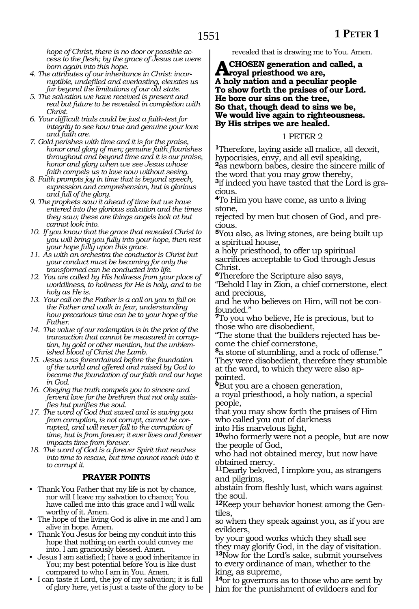*hope of Christ, there is no door or possible access to the flesh; by the grace of Jesus we were born again into this hope.*

- *4. The attributes of our inheritance in Christ: incorruptible, undefiled and everlasting, elevates us far beyond the limitations of our old state.*
- *5. The salvation we have received is present and real but future to be revealed in completion with Christ.*
- *6. Your difficult trials could be just a faith-test for integrity to see how true and genuine your love and faith are.*
- *7. Gold perishes with time and it is for the praise, honor and glory of men; genuine faith flourishes throughout and beyond time and it is our praise, honor and glory when we see Jesus whose faith compels us to love now without seeing.*
- *8. Faith prompts joy in time that is beyond speech, expression and comprehension, but is glorious and full of the glory.*
- *9. The prophets saw it ahead of time but we have entered into the glorious salvation and the times they saw; these are things angels look at but cannot look into.*
- *10. If you know that the grace that revealed Christ to you will bring you fully into your hope, then rest your hope fully upon this grace.*
- *11. As with an orchestra the conductor is Christ but your conduct must be becoming for only the transformed can be conducted into life.*
- *12. You are called by His holiness from your place of worldliness, to holiness for He is holy, and to be holy as He is.*
- *13. Your call on the Father is a call on you to fall on the Father and walk in fear, understanding how precarious time can be to your hope of the Father.*
- *14. The value of our redemption is in the price of the transaction that cannot be measured in corruption, by gold or other mention, but the unblemished blood of Christ the Lamb.*
- *15. Jesus was foreordained before the foundation of the world and offered and raised by God to become the foundation of our faith and our hope in God.*
- *16. Obeying the truth compels you to sincere and fervent love for the brethren that not only satisfies but purifies the soul.*
- *17. The word of God that saved and is saving you from corruption, is not corrupt, cannot be corrupted, and will never fall to the corruption of time, but is from forever; it ever lives and forever impacts time from forever.*
- *18. The word of God is a forever Spirit that reaches into time to rescue, but time cannot reach into it to corrupt it.*

### **PRAYER POINTS**

- Thank You Father that my life is not by chance, nor will I leave my salvation to chance; You have called me into this grace and I will walk worthy of it. Amen.
- The hope of the living God is alive in me and I am alive in hope. Amen.
- Thank You Jesus for being my conduit into this hope that nothing on earth could convey me into. I am graciously blessed. Amen.
- Jesus I am satisfied; I have a good inheritance in You; my best potential before You is like dust compared to who I am in You. Amen.
- I can taste it Lord, the joy of my salvation; it is full of glory here, yet is just a taste of the glory to be

revealed that is drawing me to You. Amen.

**A CHOSEN generation and called, a**<br>A hely notion and a negation receptor **A holy nation and a peculiar people To show forth the praises of our Lord. He bore our sins on the tree, So that, though dead to sins we be, We would live again to righteousness. By His stripes we are healed.** 

#### 1 PETER 2

**<sup>1</sup>**Therefore, laying aside all malice, all deceit, hypocrisies, envy, and all evil speaking, **<sup>2</sup>**as newborn babes, desire the sincere milk of the word that you may grow thereby,

**3**if indeed you have tasted that the Lord is gracious.

**<sup>4</sup>**To Him you have come, as unto a living stone,

rejected by men but chosen of God, and precious.

**<sup>5</sup>**You also, as living stones, are being built up a spiritual house,

a holy priesthood, to offer up spiritual sacrifices acceptable to God through Jesus Christ.

**<sup>6</sup>**Therefore the Scripture also says,

"Behold I lay in Zion, a chief cornerstone, elect and precious,

and he who believes on Him, will not be confounded."

**<sup>7</sup>**To you who believe, He is precious, but to those who are disobedient,

"The stone that the builders rejected has become the chief cornerstone,

**<sup>8</sup>**a stone of stumbling, and a rock of offense." They were disobedient, therefore they stumble at the word, to which they were also appointed.

**<sup>9</sup>**But you are a chosen generation,

a royal priesthood, a holy nation, a special people,

that you may show forth the praises of Him who called you out of darkness

into His marvelous light, **<sup>10</sup>**who formerly were not a people, but are now the people of God,

who had not obtained mercy, but now have obtained mercy.

**<sup>11</sup>**Dearly beloved, I implore you, as strangers and pilgrims,

abstain from fleshly lust, which wars against the soul.

**12**Keep your behavior honest among the Gentiles,

so when they speak against you, as if you are evildoers,

by your good works which they shall see they may glorify God, in the day of visitation. **<sup>13</sup>**Now for the Lord's sake, submit yourselves to every ordinance of man, whether to the king, as supreme,

**<sup>14</sup>**or to governors as to those who are sent by him for the punishment of evildoers and for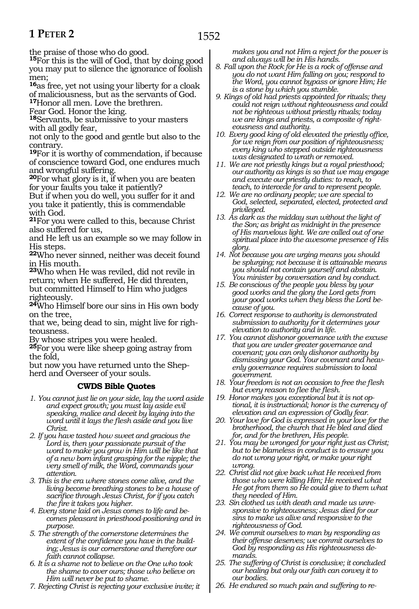# **1 PETER 2**

the praise of those who do good.

**<sup>15</sup>**For this is the will of God, that by doing good you may put to silence the ignorance of foolish men;

**<sup>16</sup>**as free, yet not using your liberty for a cloak of maliciousness, but as the servants of God.

**<sup>17</sup>**Honor all men. Love the brethren.

Fear God. Honor the king.

**<sup>18</sup>**Servants, be submissive to your masters with all godly fear,

not only to the good and gentle but also to the contrary.

**<sup>19</sup>**For it is worthy of commendation, if because of conscience toward God, one endures much and wrongful suffering.

**<sup>20</sup>**For what glory is it, if when you are beaten for your faults you take it patiently?

But if when you do well, you suffer for it and you take it patiently, this is commendable with God.

**<sup>21</sup>**For you were called to this, because Christ also suffered for us,

and He left us an example so we may follow in His steps.

**<sup>22</sup>**Who never sinned, neither was deceit found in His mouth.

**<sup>23</sup>**Who when He was reviled, did not revile in return; when He suffered, He did threaten, but committed Himself to Him who judges righteously.

**<sup>24</sup>**Who Himself bore our sins in His own body on the tree,

that we, being dead to sin, might live for righteousness.

By whose stripes you were healed.

**<sup>25</sup>**For you were like sheep going astray from the fold,

but now you have returned unto the Shepherd and Overseer of your souls.

## **CWDS Bible Quotes**

- *1. You cannot just lie on your side, lay the word aside and expect growth; you must lay aside evil speaking, malice and deceit by laying into the word until it lays the flesh aside and you live Christ.*
- *2. If you have tasted how sweet and gracious the Lord is, then your passionate pursuit of the word to make you grow in Him will be like that of a new born infant grasping for the nipple; the very smell of milk, the Word, commands your attention.*
- *3. This is the era where stones come alive, and the living become breathing stones to be a house of sacrifice through Jesus Christ, for if you catch the fire it takes you higher.*
- *4. Every stone laid on Jesus comes to life and becomes pleasant in priesthood-positioning and in purpose.*
- *5. The strength of the cornerstone determines the extent of the confidence you have in the building; Jesus is our cornerstone and therefore our faith cannot collapse.*
- *6. It is a shame not to believe on the One who took the shame to cover ours; those who believe on Him will never be put to shame.*
- *7. Rejecting Christ is rejecting your exclusive invite; it*

*makes you and not Him a reject for the power is and always will be in His hands.*

- *8. Fall upon the Rock for He is a rock of offense and you do not want Him falling on you; respond to the Word, you cannot bypass or ignore Him; He is a stone by which you stumble.*
- *9. Kings of old had priests appointed for rituals; they could not reign without righteousness and could not be righteous without priestly rituals; today we are kings and priests, a composite of right-*
- *eousness and authority. 10. Every good king of old elevated the priestly office, for we reign from our position of righteousness; every king who stepped outside righteousness was designated to wrath or removed.*
- *11. We are not priestly kings but a royal priesthood; our authority as kings is so that we may engage and execute our priestly duties: to reach, to teach, to intercede for and to represent people.*
- *12. We are no ordinary people; we are special to God, selected, separated, elected, protected and privileged.*
- *13. As dark as the midday sun without the light of the Son; as bright as midnight in the presence of His marvelous light. We are called out of one spiritual place into the awesome presence of His glory.*
- *14. Not because you are urging means you should be splurging; not because it is attainable means you should not contain yourself and abstain. You minister by conversation and by conduct.*
- *15. Be conscious of the people you bless by your good works and the glory the Lord gets from your good works when they bless the Lord because of you.*
- *16. Correct response to authority is demonstrated submission to authority for it determines your elevation to authority and in life.*
- *17. You cannot dishonor governance with the excuse that you are under greater governance and covenant; you can only dishonor authority by dismissing your God. Your covenant and heavenly governance requires submission to local government.*
- *18. Your freedom is not an occasion to free the flesh but every reason to flee the flesh.*
- *19. Honor makes you exceptional but it is not optional, it is instructional; honor is the currency of elevation and an expression of Godly fear.*
- *20. Your love for God is expressed in your love for the brotherhood, the church that He bled and died for, and for the brethren, His people.*
- *21. You may be wronged for your right just as Christ; but to be blameless in conduct is to ensure you do not wrong your right, or make your right wrong.*
- *22. Christ did not give back what He received from those who were killing Him; He received what He got from them so He could give to them what they needed of Him.*
- *23. Sin clothed us with death and made us unresponsive to righteousness; Jesus died for our sins to make us alive and responsive to the righteousness of God.*
- *24. We commit ourselves to man by responding as their offense deserves; we commit ourselves to God by responding as His righteousness demands.*
- *25. The suffering of Christ is conclusive; it concluded our healing but only our faith can convey it to our bodies.*
- *26. He endured so much pain and suffering to re-*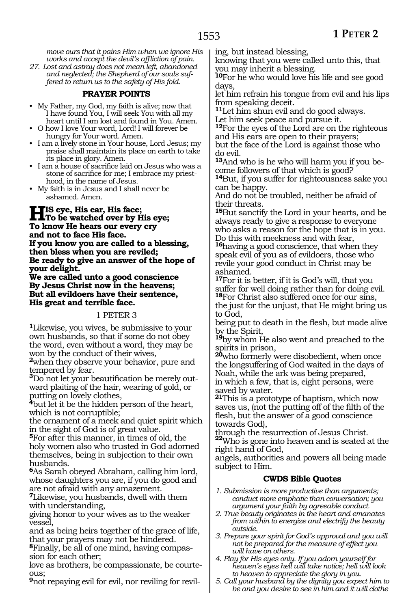*move ours that it pains Him when we ignore His works and accept the devil's affliction of pain.*

*27. Lost and astray does not mean left, abandoned and neglected; the Shepherd of our souls suffered to return us to the safety of His fold.* 

### **PRAYER POINTS**

- My Father, my God, my faith is alive; now that I have found You, I will seek You with all my heart until I am lost and found in You. Amen.
- O how I love Your word, Lord! I will forever be hungry for Your word. Amen.
- I am a lively stone in Your house, Lord Jesus; my praise shall maintain its place on earth to take its place in glory. Amen.
- I am a house of sacrifice laid on Jesus who was a stone of sacrifice for me; I embrace my priesthood, in the name of Jesus.
- My faith is in Jesus and I shall never be ashamed. Amen.

**His eye, His ear, His face;**<br>To be watched over by His eye; **To know He hears our every cry and not to face His face. If you know you are called to a blessing, then bless when you are reviled; Be ready to give an answer of the hope of your delight.**

**We are called unto a good conscience By Jesus Christ now in the heavens; But all evildoers have their sentence, His great and terrible face.**

#### 1 PETER 3

**<sup>1</sup>**Likewise, you wives, be submissive to your own husbands, so that if some do not obey the word, even without a word, they may be won by the conduct of their wives,

**<sup>2</sup>**when they observe your behavior, pure and

tempered by fear. **<sup>3</sup>**Do not let your beautification be merely outward plaiting of the hair, wearing of gold, or putting on lovely clothes,

**<sup>4</sup>**but let it be the hidden person of the heart, which is not corruptible;

the ornament of a meek and quiet spirit which in the sight of God is of great value.

**<sup>5</sup>**For after this manner, in times of old, the holy women also who trusted in God adorned themselves, being in subjection to their own husbands.

**<sup>6</sup>**As Sarah obeyed Abraham, calling him lord, whose daughters you are, if you do good and are not afraid with any amazement.

**<sup>7</sup>**Likewise, you husbands, dwell with them with understanding,

giving honor to your wives as to the weaker vessel,

and as being heirs together of the grace of life, that your prayers may not be hindered.

**8**Finally, be all of one mind, having compassion for each other;

love as brothers, be compassionate, be courte- ous;

**9**not repaying evil for evil, nor reviling for revil-

ing, but instead blessing,

knowing that you were called unto this, that you may inherit a blessing.

**<sup>10</sup>**For he who would love his life and see good days,

let him refrain his tongue from evil and his lips from speaking deceit.

**<sup>11</sup>**Let him shun evil and do good always.

Let him seek peace and pursue it.

**<sup>12</sup>**For the eyes of the Lord are on the righteous and His ears are open to their prayers; but the face of the Lord is against those who

do evil.

**<sup>13</sup>**And who is he who will harm you if you be- come followers of that which is good?

**<sup>14</sup>**But, if you suffer for righteousness sake you can be happy.

And do not be troubled, neither be afraid of their threats.

**<sup>15</sup>**But sanctify the Lord in your hearts, and be always ready to give a response to everyone who asks a reason for the hope that is in you. Do this with meekness and with fear,

**<sup>16</sup>**having a good conscience, that when they speak evil of you as of evildoers, those who revile your good conduct in Christ may be ashamed.

**<sup>17</sup>**For it is better, if it is God's will, that you suffer for well doing rather than for doing evil. **<sup>18</sup>**For Christ also suffered once for our sins, the just for the unjust, that He might bring us to God,

being put to death in the flesh, but made alive by the Spirit,

**<sup>19</sup>**by whom He also went and preached to the spirits in prison,

**<sup>20</sup>**who formerly were disobedient, when once the longsuffering of God waited in the days of Noah, while the ark was being prepared, in which a few, that is, eight persons, were saved by water.

**<sup>21</sup>**This is a prototype of baptism, which now saves us, (not the putting off of the filth of the flesh, but the answer of a good conscience towards God),

through the resurrection of Jesus Christ. **<sup>22</sup>**Who is gone into heaven and is seated at the right hand of God,

angels, authorities and powers all being made subject to Him.

## **CWDS Bible Quotes**

- *1. Submission is more productive than arguments; conduct more emphatic than conversation; you argument your faith by agreeable conduct.*
- *2. True beauty originates in the heart and emanates from within to energize and electrify the beauty outside.*
- *3. Prepare your spirit for God's approval and you will not be prepared for the measure of effect you will have on others.*
- *4. Play for His eyes only. If you adorn yourself for heaven's eyes hell will take notice; hell will look to heaven to appreciate the glory in you.*
- *5. Call your husband by the dignity you expect him to be and you desire to see in him and it will clothe*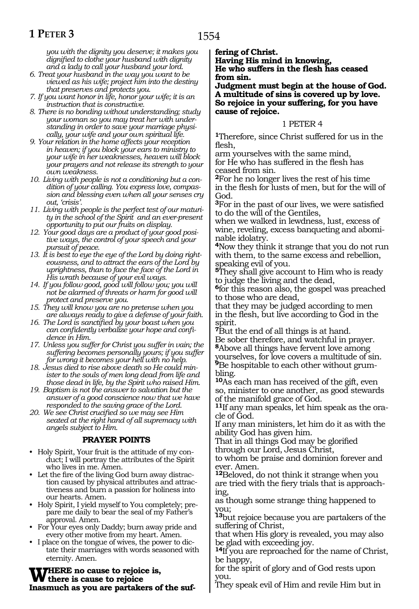# **1 PETER 3**

*you with the dignity you deserve; it makes you dignified to clothe your husband with dignity and a lady to call your husband your lord.*

- *6. Treat your husband in the way you want to be viewed as his wife; project him into the destiny that preserves and protects you.*
- *7. If you want honor in life, honor your wife; it is an instruction that is constructive.*
- *8. There is no bonding without understanding; study your woman so you may treat her with understanding in order to save your marriage physically, your wife and your own spiritual life.*
- *9. Your relation in the home affects your reception in heaven; if you block your ears to ministry to your wife in her weaknesses, heaven will block your prayers and not release its strength to your own weakness.*
- *10. Living with people is not a conditioning but a condition of your calling. You express love, compassion and blessing even when all your senses cry out, 'crisis'.*
- *11. Living with people is the perfect test of our maturity in the school of the Spirit and an ever-present opportunity to put our fruits on display.*
- *12. Your good days are a product of your good positive ways, the control of your speech and your pursuit of peace.*
- *13. It is best to eye the eye of the Lord by doing righteousness, and to attract the ears of the Lord by uprightness, than to face the face of the Lord in His wrath because of your evil ways.*
- *14. If you follow good, good will follow you; you will not be alarmed of threats or harm for good will protect and preserve you.*
- *15. They will know you are no pretense when you are always ready to give a defense of your faith.*
- *16. The Lord is sanctified by your boast when you can confidently verbalize your hope and confidence in Him.*
- *17. Unless you suffer for Christ you suffer in vain; the suffering becomes personally yours; if you suffer for wrong it becomes your hell with no help.*
- *18. Jesus died to rise above death so He could minister to the souls of men long dead from life and those dead in life, by the Spirit who raised Him.*
- *19. Baptism is not the answer to salvation but the answer of a good conscience now that we have responded to the saving grace of the Lord.*
- *20. We see Christ crucified so we may see Him seated at the right hand of all supremacy with angels subject to Him.*

### **PRAYER POINTS**

- Holy Spirit, Your fruit is the attitude of my conduct; I will portray the attributes of the Spirit who lives in me. Amen.
- Let the fire of the living God burn away distraction caused by physical attributes and attractiveness and burn a passion for holiness into our hearts. Amen.
- Holy Spirit, I yield myself to You completely; prepare me daily to bear the seal of my Father's approval. Amen.
- For Your eyes only Daddy; burn away pride and every other motive from my heart. Amen.
- I place on the tongue of wives, the power to dictate their marriages with words seasoned with eternity. Amen.

**Where no cause to rejoice is, there is cause to rejoice Inasmuch as you are partakers of the suf-** **fering of Christ.**

**Having His mind in knowing, He who suffers in the flesh has ceased from sin.**

**Judgment must begin at the house of God. A multitude of sins is covered up by love. So rejoice in your suffering, for you have cause of rejoice.**

### 1 PETER 4

**<sup>1</sup>**Therefore, since Christ suffered for us in the flesh,

arm yourselves with the same mind, for He who has suffered in the flesh has ceased from sin.

**<sup>2</sup>**For he no longer lives the rest of his time in the flesh for lusts of men, but for the will of God.

**<sup>3</sup>**For in the past of our lives, we were satisfied to do the will of the Gentiles,

when we walked in lewdness, lust, excess of wine, reveling, excess banqueting and abominable idolatry.

**<sup>4</sup>**Now they think it strange that you do not run with them, to the same excess and rebellion, speaking evil of you.

**<sup>5</sup>**They shall give account to Him who is ready to judge the living and the dead,

**<sup>6</sup>**for this reason also, the gospel was preached to those who are dead,

that they may be judged according to men in the flesh, but live according to God in the spirit.

**<sup>7</sup>**But the end of all things is at hand. Be sober therefore, and watchful in prayer. **<sup>8</sup>**Above all things have fervent love among yourselves, for love covers a multitude of sin. **9**Be hospitable to each other without grumbling.

**<sup>10</sup>**As each man has received of the gift, even so, minister to one another, as good stewards of the manifold grace of God.

**11**If any man speaks, let him speak as the oracle of God.

If any man ministers, let him do it as with the ability God has given him.

That in all things God may be glorified through our Lord, Jesus Christ,

to whom be praise and dominion forever and ever. Amen.

**<sup>12</sup>**Beloved, do not think it strange when you are tried with the fiery trials that is approaching,

as though some strange thing happened to you;

**<sup>13</sup>**but rejoice because you are partakers of the suffering of Christ,

that when His glory is revealed, you may also be glad with exceeding joy.

**<sup>14</sup>**If you are reproached for the name of Christ, be happy,

for the spirit of glory and of God rests upon you.

They speak evil of Him and revile Him but in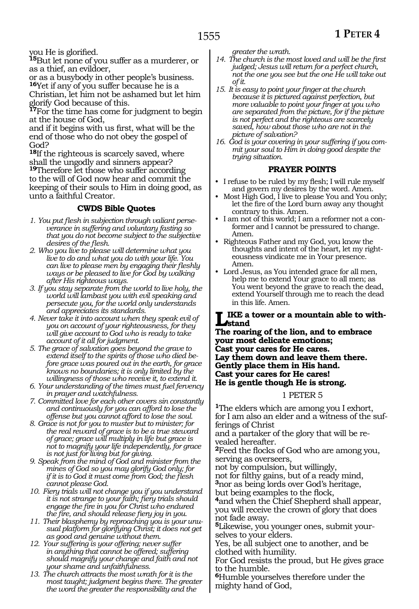you He is glorified.

**<sup>15</sup>**But let none of you suffer as a murderer, or as a thief, an evildoer,

or as a busybody in other people's business. **<sup>16</sup>**Yet if any of you suffer because he is a

Christian, let him not be ashamed but let him glorify God because of this.

**<sup>17</sup>**For the time has come for judgment to begin at the house of God,

and if it begins with us first, what will be the end of those who do not obey the gospel of God?

**<sup>18</sup>**If the righteous is scarcely saved, where shall the ungodly and sinners appear?

**<sup>19</sup>**Therefore let those who suffer according to the will of God now hear and commit the keeping of their souls to Him in doing good, as unto a faithful Creator.

## **CWDS Bible Quotes**

- *1. You put flesh in subjection through valiant perseverance in suffering and voluntary fasting so that you do not become subject to the subjective desires of the flesh.*
- *2. Who you live to please will determine what you live to do and what you do with your life. You can live to please men by engaging their fleshly ways or be pleased to live for God by walking after His righteous ways.*
- *3. If you stay separate from the world to live holy, the world will lambast you with evil speaking and persecute you, for the world only understands and appreciates its standards.*
- *4. Never take it into account when they speak evil of you on account of your righteousness, for they will give account to God who is ready to take account of it all for judgment.*
- *5. The grace of salvation goes beyond the grave to extend itself to the spirits of those who died before grace was poured out in the earth, for grace knows no boundaries; it is only limited by the willingness of those who receive it, to extend it.*
- *6. Your understanding of the times must fuel fervency in prayer and watchfulness.*

*7. Committed love for each other covers sin constantly and continuously for you can afford to lose the offense but you cannot afford to lose the soul.*

- *8. Grace is not for you to muster but to minister; for the real reward of grace is to be a true steward of grace; grace will multiply in life but grace is not to magnify your life independently, for grace is not just for living but for giving.*
- *9. Speak from the mind of God and minister from the mines of God so you may glorify God only; for if it is to God it must come from God; the flesh cannot please God.*
- *10. Fiery trials will not change you if you understand it is not strange to your faith; fiery trials should engage the fire in you for Christ who endured the fire, and should release fiery joy in you.*
- *11. Their blasphemy by reproaching you is your unusual platform for glorifying Christ; it does not get as good and genuine without them.*
- *12. Your suffering is your offering; never suffer in anything that cannot be offered; suffering should magnify your change and faith and not your shame and unfaithfulness.*
- *13. The church attracts the most wrath for it is the most taught; judgment begins there. The greater the word the greater the responsibility and the*

*greater the wrath.*

- *14. The church is the most loved and will be the first judged; Jesus will return for a perfect church, not the one you see but the one He will take out of it.*
- *15. It is easy to point your finger at the church because it is pictured against perfection, but more valuable to point your finger at you who are separated from the picture, for if the picture is not perfect and the righteous are scarcely saved, how about those who are not in the picture of salvation?*
- *16. God is your covering in your suffering if you commit your soul to Him in doing good despite the trying situation.*

## **PRAYER POINTS**

- I refuse to be ruled by my flesh; I will rule myself and govern my desires by the word. Amen.
- Most High God, I live to please You and You only; let the fire of the Lord burn away any thought contrary to this. Amen.
- I am not of this world; I am a reformer not a conformer and I cannot be pressured to change. Amen.
- Righteous Father and my God, you know the thoughts and intent of the heart, let my righteousness vindicate me in Your presence. Amen.
- Lord Jesus, as You intended grace for all men, help me to extend Your grace to all men; as You went beyond the grave to reach the dead, extend Yourself through me to reach the dead in this life. Amen.

**Like a tower or a mountain able to withstand**

**The roaring of the lion, and to embrace your most delicate emotions; Cast your cares for He cares. Lay them down and leave them there. Gently place them in His hand. Cast your cares for He cares! He is gentle though He is strong.**

#### 1 PETER 5

**<sup>1</sup>**The elders which are among you I exhort, for I am also an elder and a witness of the sufferings of Christ

and a partaker of the glory that will be revealed hereafter.

**<sup>2</sup>**Feed the flocks of God who are among you, serving as overseers,

not by compulsion, but willingly,

not for filthy gains, but of a ready mind, **<sup>3</sup>**nor as being lords over God's heritage, but being examples to the flock,

**<sup>4</sup>**and when the Chief Shepherd shall appear, you will receive the crown of glory that does not fade away.

**5**Likewise, you younger ones, submit yourselves to your elders.

Yes, be all subject one to another, and be clothed with humility.

For God resists the proud, but He gives grace to the humble.

**<sup>6</sup>**Humble yourselves therefore under the mighty hand of God,